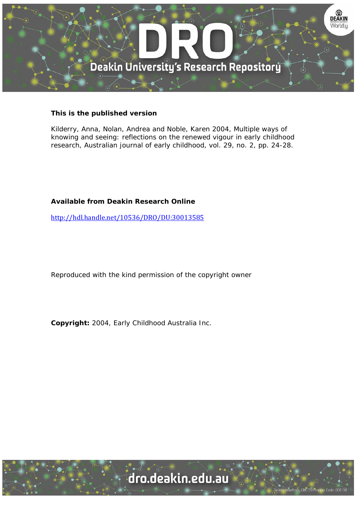

## **This is the published version**

Kilderry, Anna, Nolan, Andrea and Noble, Karen 2004, Multiple ways of knowing and seeing: reflections on the renewed vigour in early childhood research, Australian journal of early childhood, vol. 29, no. 2, pp. 24-28.

## **Available from Deakin Research Online**

http://hdl.handle.net/10536/DRO/DU:30013585

Reproduced with the kind permission of the copyright owner

**Copyright:** 2004, Early Childhood Australia Inc.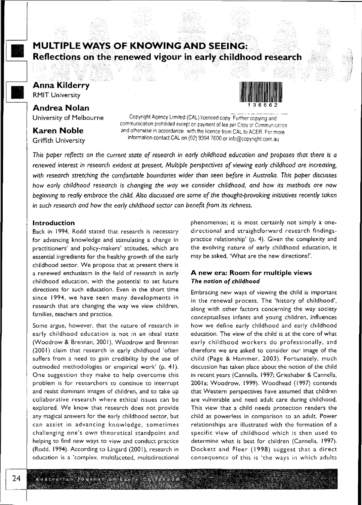# **MULTIPLEW'AiS.OFKNOWINCiANOSEEI<NG:** • ··Ref1ec~iciQ.s ()·~·1:F~ ..ene:;,ecl· vi·gcn.l·r·••.ip•• ~a~II·Eh il~h.~od. res~at~h

 $\alpha$  :  $\sim$  $\mathcal{E}=\mathcal{E}=\mathcal{E}=\mathcal{E}=\mathcal{E}=\mathcal{E}$ con al al Caral San Cara

**Anna Kilderry RMIT** University

•

## **Andrea Nolan**

University of Melbourne

.;--\~-

## **Karen Noble**

Griffith University

Copyright Agency Limited (CAL) licensed copy. Further copying and communication prohibited except on payment of fee per Copy or Communication. and otherwise in accordance with the licence from CAL to ACER. For more information contact CAL on (02) 9394 7600 or info@copyright.com.au

*This paper reffects* on *the current state* of *research in early childhood education and proposes that there is* a renewed *interest* in *research evident* at *present. Multiple perspectives* of *viewing early childhood are increasing, with research stretching the comfortable boundaries wider than* seen *before in Australia. This paper* discusses *how early childhood research* is *changing the way* we *consider childhood, and how its methods are now* beginning to *realty embrace the child. Also discussed are some* of *the thought-provoking initiatives recently taken* in *such research and how the early childhood sector can* benefit *from its richness.*

## **Introduction**

Back in 1994, Rodd stated that research is necessary for advancing knowledge and stimulating a change in practitioners' and policy-makers' attitudes, which are essential ingredients for the healthy growth of the early childhood sector. We propose that at present there is a renewed enthusiasm in the field of research in early childhood education. with the potential to set future directions for such education. Even in the short time since 1994, we have seen many developments in research that are changing the way we view children, families, teachers and practice.

Some argue, however, that the nature of research in early childhood education is not in an ideal state (Woodrow & Brennan, 2001). Woodrow and Brennan (2001) claim that research in early childhood 'often suffers from a need to gain credibility by the use of outmoded methodologies or empirical work' (p. 41). One suggestion they make to help overcome this problem is for researchers to continue to interrupt and resist dominant images of children, and to take up collaborative research where ethical issues can be explored. We know that research does not provide any magical answers for the early childhood sector, but can assist in advancing knowledge, sometimes challenging one's own theoretical standpoint and helping to find new ways to view and conduct practice (Rodd, 1994). According to Lingard (200 I), research in education is a 'complex. multifaceted, multidirectional

Australian Pournal of Early Childhood

phenomenon; it is most certainly not simply a onedirectional and straightforward research findingspractice relationship' (p. 4). Given the complexity and the evolving nature of early childhood education, it may be asked, 'What are the new directions?'.

### **A new era: Room for multiple views** *The notion* **of** *childhood*

Embracing new ways of viewing the child is important in the renewal process. The 'history of childhood', along with other factors concerning the way society conceptualises infants and young children, influences how we define early childhood and early childhood education. The view of the child is at the core of what early childhood workers do professionally, and therefore we are asked to consider our image of the child (Page & Hammer, 2003). Fortunately, much discussion has taken place about the notion of the child in recent years (Cannella, 1997; Grieshaber & Cannella, 2001a; Woodrow, 1999). Woodhead (1997) contends that Western perspectives have assumed that children are vulnerable and need adult care during childhood. This view that a child needs protection renders the child as powerless in comparison to an adult. Power relationships are illustrated with the formation of a specific view of childhood which is then used to determine what is best for children (Cannella, 1997). Dockett and Fleer (1998) suggest that a direct consequence of this is 'the ways in which adults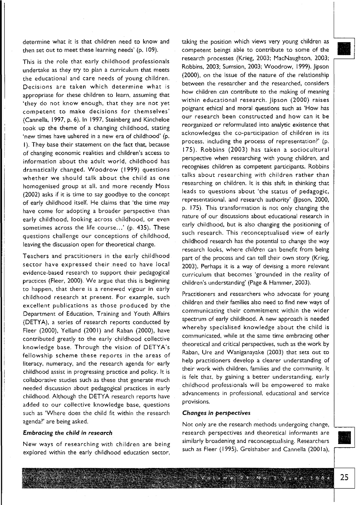determine what it is that children need to know and then set out to meet these learning needs' (p, 109).

This is the role that early childhood professionals undertake as they try to plan a curriculum that meets the educational and care needs of young children. Decisions are taken which determine what is appropriate for these children to learn. assuming that 'they do not know enough, that they are not yet competent to make decisions for themselves' (Cannella, 1997, p. 6). In 1997, Steinberg and Kincheloe took up the theme of a changing childhood. stating 'new times have ushered in a new era of childhood' (p. I). They base their statement on the fact that. because of changing economic realities and children's access to information about the adult world, childhood has dramatically changed. Woodrow (1999) questions whether we should talk about the child as one homogenised group at all. and more recently Moss (2002) asks if it is time to say goodbye to the concept of early childhood itself. He claims that 'the time may have come for adopting a broader perspective than early childhood, looking across childhood, or even sometimes across the life course...' (p. 435). These questions challenge our conceptions of childhood, leaving the discussion open for theoretical change.

Teachers and practitioners in the early childhood sector have expressed their need to have local evidence-based research to support their pedagogical practices (Fleer, 2000), We argue that this is beginning to happen, that there is a renewed vigour in early childhood research at present. For example, such excellent publications as those produced by the Department of Education, Training and Youth Affairs (DETYA), a series of research reports conducted by Fleer (2000), Yelland (2001) and Raban (2000), have contributed greatly to the early childhood collective knowledge base. Through the vision of DETYA's fellowship scheme these reports in the areas of literacy, numeracy. and the research agenda for early childhood assist in progressing practice and policy. It is collaborative studies such as these that generate much needed discussion about pedagogical practices in early childhood. Although the DETYA research reports have added to our collective knowledge base, questions such as 'Where does the child fit within the research agenda?' are being asked.

#### **Embracing** *the child* **in** *research*

New ways of researching *with* children are being explored within the early childhood education sector,

taking the position which views very young children as between the researcher and the researched, considers I 175). Robbins (2003) has taken a sociocultura competent beings able to contribute to some of the research processes (Krieg, 2003; MacNaughton, 2003 Robbins, 2003; Sumsion, 2003; Woodrow, 1999). Jipson (2000), on the issue of the nature of the relationship how children can contribute to the making of meaning within educational research. Jipson (2000) raises poignant ethical and moral questions such as 'How has our research been constructed and how can it be reorganized or reformulated into analytic existence that acknowledges the eo-participation of children in its process, including the process of representation?' (p perspective when researching with young children, and recognises children as competent participants. Robbins talks about researching *with* children rather than researching on children. It is this shift in thinking that leads to questions about 'the status of pedagogic, representational, and research authority' (jipson, 2000, p. 175), This transformation is not only changing the nature of our discussions about educational research in early childhood, but is also changing the positioning of such research. This reconceptualised view of early childhood research has the potential to change the way research looks, where *children* can benefit from being part of the process and can tell their own story (Krieg, 2003). Perhaps it is a way of devising a more relevant curriculum that becomes 'grounded in the reality of children's understanding' (Page & Hammer, 2003).

Practitioners and researchers who advocate for young children and their families also need to find new ways of communicating their commitment within the wider spectrum of early childhood. A new approach is needed whereby specialised knowledge about the child is communicated, while at the same time embracing other theoretical and critical perspectives, such as the work by Raban, Ure and Waniganayake (2003) that sets out to help practitioners develop a clearer understanding of their work with children. families and the community. It is felt that, by gaining a better understanding, early childhood professionals will be empowered to make advancements in professional, educational and service provisions.

#### *Changes in perspectives*

Volume

Not only are the research methods undergoing change, research perspectives and theoretical informants are similarly broadening and reconceptualising. Researchers such as Fleer (1995), Greishaber and Cannella (2001a), •

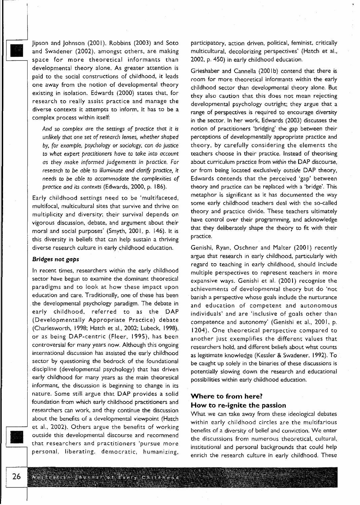[ipson and Johnson (200 I), Robbins (2003) and Soto and Swadener (2002), amongst others, are making space for more theoretical informants than developmental theory alone. As greater attention is paid to the social constructions of childhood, it leads one away from the notion of developmental theory existing in isolation. Edwards (2000) states that, for research to really assist practice and manage the diverse contexts it attempts to inform, it has to be a complex process within itself:

*And* so *complex are* the settings *of practice that* it is *unlikely that* one *set* of *research* lenses, *whether shaped by, for example, psychology or*sociology, *can do justice* to *what expert practitioners have* to *take into account as they make informed judgements* in *practice. For research* to *be able* to *illuminate and* clarify *practice,* it *needs* to be *able* to *accommodate* the *complexities* of *practice and its contexts* (Edwards, 2000, p. 186).

Early childhood settings need to be 'multifaceted, multifocal, multicultural sites that survive and thrive on multiplicity and diversity: their survival depends on vigorous discussion, debate, and argument about their moral and social purposes' (Smyth, 200 I, p. 146). It is this diversity in beliefs that can help sustain a thriving diverse research culture in early childhood education.

#### *Bridges* **not** *gaps*

,---------

•

In recent times, researchers within the early childhood sector have begun to examine the dominant theoretical paradigms and to look at how these impact upon education and care. Traditionally, one of these has been the developmental psychology paradigm. The debate in early childhood, referred to as the DAP (Developmentally Appropriate Practice) debate (Charlesworth, 1998; Hatch et al., 2002; Lubeck, 1998), or as being DAP-centric (Fleer, 1995), has been controversial for many years now. Although this ongoing international discussion has assisted the early childhood sector by questioning the bedrock of the foundational discipline (developmental psychology) that has driven early childhood for many years as the main theoretical informant, the discussion is beginning to change in its nature. Some still argue that DAP provides a solid foundation from which early childhood practitioners and researchers can work, and they continue the discussion about the benefits of a developmental viewpoint (Hatch et al., 2002). Others argue the benefits of working outside this developmental discourse and recommend that researchers and practitioners 'pursue more personal, liberating, democratic, humanizing.

Australian Leurnation Earry Childhood

participatory, action driven, political, feminist, critically multicultural, decolorizing perspectives' (Hatch et al., 2002, p. 450) in early childhood education.

Grieshaber and Cannella (200 Ib) contend that there is room for more theoretical informants within the early childhood sector than developmental theory alone. But they also caution that this does not mean rejecting developmental psychology outright; they argue that a range of perspectives is required to encourage diversity in the sector. In her work, Edwards (2003) discusses the notion of practitioners 'bridging' the gap between their perceptions of developmentally appropriate practice and theory, by carefully considering the elements the teachers choose in their practice. Instead of theorising about curriculum practice from *within* the DAP discourse, or from being located exclusively *outside* DAP theory, Edwards contends that the perceived 'gap' between theory and practice can be replaced with a 'bridge'. This metaphor is significant as it has documented the way some early childhood teachers deal with the so-called theory and practice divide. These teachers ultimately have control over their programming, and acknowledge that they deliberately shape the theory to fit with their practice.

Genishi, Ryan, Oschner and Malter (2001) recently argue that research in early childhood, particularly with regard to teaching in early childhood, should include multiple perspectives to represent teachers in more expansive ways. Genishi et al. (200 I) recognise the achievements of developmental theory but do 'not banish a perspective whose goals include the nurturance and education of competent and autonomous individuals' and are 'inclusive of goals other than competence and autonomy' (Genishi et al., 200 I, p. 1204). One theoretical perspective compared to another just exemplifies the different values that researchers hold, and different beliefs about what counts as legitimate knowledge (Kessler & Swadener, 1992). To be caught up solely in the binaries of these discussions is potentially slowing down the research and educational possibilities within early childhood education.

## **Where to from here? How to re-ignite the passion**

What we can take away from these ideological debates within early childhood circles are the multifarious benefits of a diversity of belief and conviction. We enter the discussions from numerous theoretical. cultural, institutional and personal backgrounds that could help enrich the research culture in early childhood. These

•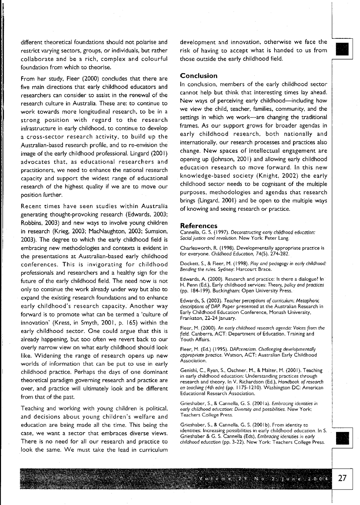different theoretical foundations should not polarise and restrict varying sectors, groups, or individuals, but rather collaborate and be a rich, complex and colourful foundation from which to theorise.

From her study, Fleer (2000) concludes that there are five main directions that early childhood educators and researchers can consider to assist in the renewal of the research culture in Australia. These are: to continue to work towards more longitudinal research, to be in a strong position with regard to the research infrastructure in early childhood, to continue to develop a cross-sector research activity, to build up the Australian-based research profile, and to re-envision the image of the early childhood professional. Lingard (200 I) advocates that, as educational researchers and practitioners, we need to enhance the national research capacity and support the widest range of educational research of the highest quality if we are to move our position further.

Recent times have seen studies within Australia generating thought-provoking research (Edwards, 2003; Robbins, 2003) and new ways to involve young children in research (Krieg, 2003; MacNaughton, 2003; Sumsion, 2003). The degree to which the early childhood field is embracing new methodologies and contexts is evident in the presentations at Australian-based early childhood conferences. This is invigorating for childhood professionals and researchers and a healthy sign for the future of the early childhood field. The need now is not only to continue the work already under way but also to expand the existing research foundations and to enhance early childhood's research capacity. Another way forward is to promote what can be termed a 'culture of innovation' (Kress, in Smyth, 2001, p. 165) within the early childhood sector. One could argue that this is already happening, but too often we revert back to our overly narrow view on what early childhood should look like. Widening the range of research opens up new worlds of information that can be put to use in early childhood practice. Perhaps the days of one dominant theoretical paradigm governing research and practice are over, and practice will ultimately look and be different from that of the past.

Teaching and working with young children is political, and decisions about young children's welfare and education are being made all the time. This being the case, we want a sector that embraces diverse views. There is no need for all our research and practice to look the same. We must take the lead in curriculum

development and innovation, otherwise we face the • risk of having to accept what is handed to us from those outside the early childhood field.

#### **Conclusion**

In conclusion, members of the early childhood sector cannot help but think that interesting times lay ahead. New ways of perceiving early childhood-including how we view the child, teacher, families, community, and the settings in which we work-are changing the traditional frames. As our support grows for broader agendas in early childhood research, both nationally and internationally, our research processes and practices also change. New spaces of intellectual engagement are opening up (Johnson, 200 I) and allowing early childhood education research to move forward. In this new knowledge-based society (Knight, 2002) the early childhood sector needs to be cognisant of the multiple purposes, methodologies and agendas that research brings (Lingard, 2001) and be open to the multiple ways of knowing and seeing research or practice.

#### **References**

Cannella. G. S. (1997). *Deconstructing* eady *childhood education: Social* justice *and revolution.* New York: Peter l.ang,

Charlesworth, R. (1998). Developmentally appropriate practice is for everyone. *Childhood Education,* 74(5), 274-282.

Dockett, S., & Fleer, M. (1998). *Play and* pedagogy *in early childhood: Bending the rules.* Sydney: Harcourt Brace.

Edwards, A. (2000). Research and practice: Is there a dialogue? In H. Penn (Ed.), Early childhood services: *Theory, policy and practices* (pp. 184-199). Buckingham: Open University Press.

Edwards, S. (2003). *Teacher perceptions* of*curriculum:* Metaphoric *descriptions ofDAP.* Paper presented at the Australian Research in Early Childhood Education Conference, Monash University, Frankston, 22-24 January.

Fleer, M. (2000}. *An early childhood* research *agenda:* Voices from *the (Ield.* Canberra, ACT: Department of Education, Training and Youth Affairs.

Fleer, M. (Ed.) (1995). *DAPcentrism. Challenging developmentally appropriate practice.* Watson, ACT: Australian Early Childhood Association.

Genishi, C, Ryan, S., Oschner, M., & Malter, M. (2001). Teaching in early childhood education: Understanding practices through research and theory. In V. Richardson (Ed.), *Handbook* of*research* on *teaching (4th edn)* (pp. 1175-1210). Washington DC: American Educational Research Association.

Grieshaber, S., & Cannelia, G. S. (200 Ia). *Embracing identities* in *early childhood education:* Diversity *and possibi/jties.* New York: Teachers College Press.

Grieshaber, S., & Cannella, G. S. (200 Ib). From identity to identities: Increasing possibilities in early childhood education. In S. • Grieshaber & G. S. Cannella (Eds), *Embracing identities in early childhood education* (pp. 3-22). New York: Teachers College Press.

o Fum e 29 No 2 June 2004